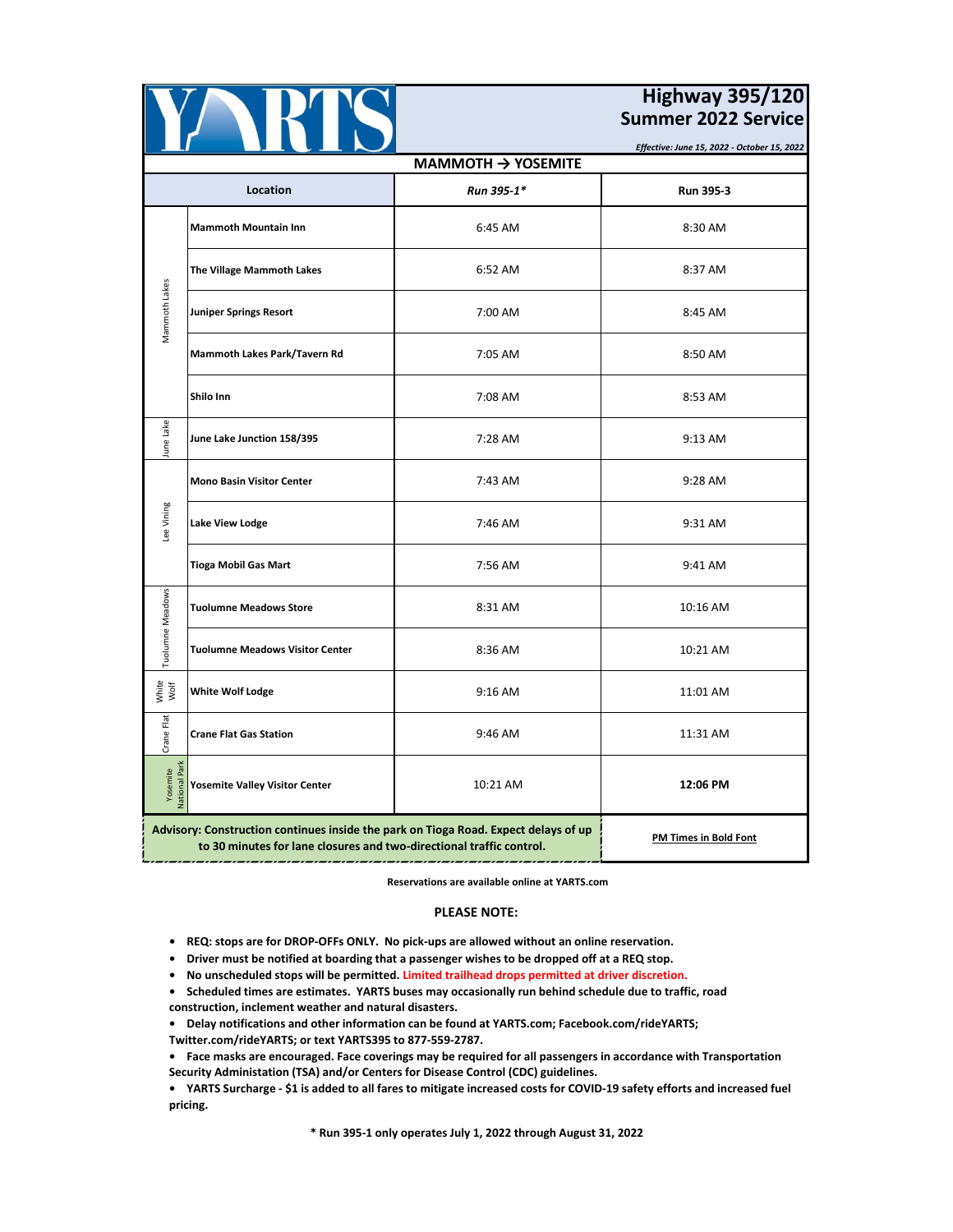|                                       |                                                                                                                                                             |                                             | <b>Highway 395/120</b><br><b>Summer 2022 Service</b> |
|---------------------------------------|-------------------------------------------------------------------------------------------------------------------------------------------------------------|---------------------------------------------|------------------------------------------------------|
|                                       |                                                                                                                                                             | Effective: June 15, 2022 - October 15, 2022 |                                                      |
|                                       |                                                                                                                                                             | $MAMMOTH \rightarrow YOSEMITE$              |                                                      |
|                                       | Location                                                                                                                                                    | Run 395-1*                                  | Run 395-3                                            |
| Mammoth Lakes                         | <b>Mammoth Mountain Inn</b>                                                                                                                                 | 6:45 AM                                     | 8:30 AM                                              |
|                                       | The Village Mammoth Lakes                                                                                                                                   | 6:52 AM                                     | 8:37 AM                                              |
|                                       | Juniper Springs Resort                                                                                                                                      | 7:00 AM                                     | 8:45 AM                                              |
|                                       | Mammoth Lakes Park/Tavern Rd                                                                                                                                | 7:05 AM                                     | 8:50 AM                                              |
|                                       | Shilo Inn                                                                                                                                                   | 7:08 AM                                     | 8:53 AM                                              |
| June Lake                             | June Lake Junction 158/395                                                                                                                                  | 7:28 AM                                     | 9:13 AM                                              |
| Lee Vining                            | <b>Mono Basin Visitor Center</b>                                                                                                                            | 7:43 AM                                     | 9:28 AM                                              |
|                                       | Lake View Lodge                                                                                                                                             | 7:46 AM                                     | 9:31 AM                                              |
|                                       | Tioga Mobil Gas Mart                                                                                                                                        | 7:56 AM                                     | 9:41 AM                                              |
| Tuolumne Meadows                      | <b>Tuolumne Meadows Store</b>                                                                                                                               | 8:31 AM                                     | 10:16 AM                                             |
|                                       | <b>Tuolumne Meadows Visitor Center</b>                                                                                                                      | 8:36 AM                                     | 10:21 AM                                             |
| White<br>Wolf                         | <b>White Wolf Lodge</b>                                                                                                                                     | $9:16$ AM                                   | 11:01 AM                                             |
| Crane Flat                            | <b>Crane Flat Gas Station</b>                                                                                                                               | 9:46 AM                                     | 11:31 AM                                             |
| Yosemite<br>lational Park<br>National | <b>Yosemite Valley Visitor Center</b>                                                                                                                       | 10:21 AM                                    | 12:06 PM                                             |
|                                       | Advisory: Construction continues inside the park on Tioga Road. Expect delays of up<br>to 30 minutes for lane closures and two-directional traffic control. | <b>PM Times in Bold Font</b>                |                                                      |

## **Reservations are available online at YARTS.com**

## **PLEASE NOTE:**

- **REQ: stops are for DROP-OFFs ONLY. No pick-ups are allowed without an online reservation.**
- **Driver must be notified at boarding that a passenger wishes to be dropped off at a REQ stop.**
- **No unscheduled stops will be permitted. Limited trailhead drops permitted at driver discretion.**
- **Scheduled times are estimates. YARTS buses may occasionally run behind schedule due to traffic, road construction, inclement weather and natural disasters.**
- **Delay notifications and other information can be found at YARTS.com; Facebook.com/rideYARTS; Twitter.com/rideYARTS; or text YARTS395 to 877-559-2787.**
- **Face masks are encouraged. Face coverings may be required for all passengers in accordance with Transportation Security Administation (TSA) and/or Centers for Disease Control (CDC) guidelines.**
- **YARTS Surcharge \$1 is added to all fares to mitigate increased costs for COVID-19 safety efforts and increased fuel pricing.**